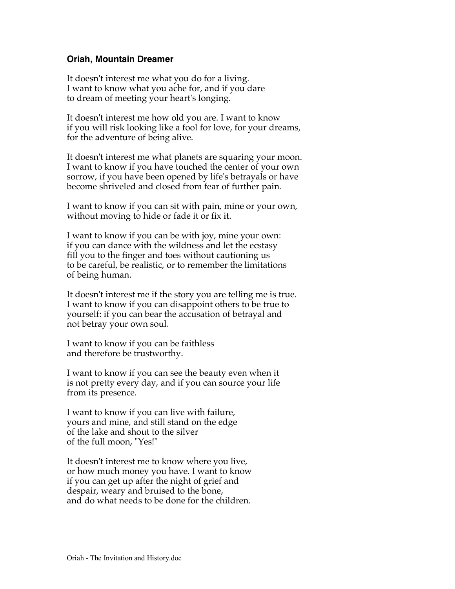## **Oriah, Mountain Dreamer**

It doesn't interest me what you do for a living. I want to know what you ache for, and if you dare to dream of meeting your heart's longing.

It doesn't interest me how old you are. I want to know if you will risk looking like a fool for love, for your dreams, for the adventure of being alive.

It doesn't interest me what planets are squaring your moon. I want to know if you have touched the center of your own sorrow, if you have been opened by life's betrayals or have become shriveled and closed from fear of further pain.

I want to know if you can sit with pain, mine or your own, without moving to hide or fade it or fix it.

I want to know if you can be with joy, mine your own: if you can dance with the wildness and let the ecstasy fill you to the finger and toes without cautioning us to be careful, be realistic, or to remember the limitations of being human.

It doesn't interest me if the story you are telling me is true. I want to know if you can disappoint others to be true to yourself: if you can bear the accusation of betrayal and not betray your own soul.

I want to know if you can be faithless and therefore be trustworthy.

I want to know if you can see the beauty even when it is not pretty every day, and if you can source your life from its presence.

I want to know if you can live with failure, yours and mine, and still stand on the edge of the lake and shout to the silver of the full moon, "Yes!"

It doesn't interest me to know where you live, or how much money you have. I want to know if you can get up after the night of grief and despair, weary and bruised to the bone, and do what needs to be done for the children.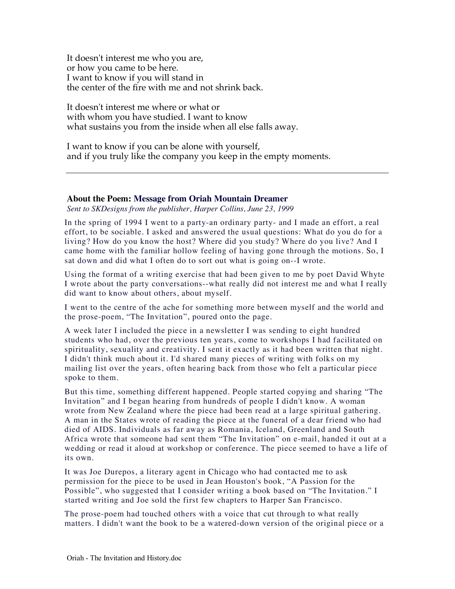It doesn't interest me who you are, or how you came to be here. I want to know if you will stand in the center of the fire with me and not shrink back.

It doesn't interest me where or what or with whom you have studied. I want to know what sustains you from the inside when all else falls away.

I want to know if you can be alone with yourself, and if you truly like the company you keep in the empty moments.

## **About the Poem: Message from Oriah Mountain Dreamer**

*Sent to SKDesigns from the publisher, Harper Collins, June 23, 1999*

In the spring of 1994 I went to a party-an ordinary party- and I made an effort, a real effort, to be sociable. I asked and answered the usual questions: What do you do for a living? How do you know the host? Where did you study? Where do you live? And I came home with the familiar hollow feeling of having gone through the motions. So, I sat down and did what I often do to sort out what is going on--I wrote.

Using the format of a writing exercise that had been given to me by poet David Whyte I wrote about the party conversations--what really did not interest me and what I really did want to know about others, about myself.

I went to the centre of the ache for something more between myself and the world and the prose-poem, "The Invitation", poured onto the page.

A week later I included the piece in a newsletter I was sending to eight hundred students who had, over the previous ten years, come to workshops I had facilitated on spirituality, sexuality and creativity. I sent it exactly as it had been written that night. I didn't think much about it. I'd shared many pieces of writing with folks on my mailing list over the years, often hearing back from those who felt a particular piece spoke to them.

But this time, something different happened. People started copying and sharing "The Invitation" and I began hearing from hundreds of people I didn't know. A woman wrote from New Zealand where the piece had been read at a large spiritual gathering. A man in the States wrote of reading the piece at the funeral of a dear friend who had died of AIDS. Individuals as far away as Romania, Iceland, Greenland and South Africa wrote that someone had sent them "The Invitation" on e-mail, handed it out at a wedding or read it aloud at workshop or conference. The piece seemed to have a life of its own.

It was Joe Durepos, a literary agent in Chicago who had contacted me to ask permission for the piece to be used in Jean Houston's book, "A Passion for the Possible", who suggested that I consider writing a book based on "The Invitation." I started writing and Joe sold the first few chapters to Harper San Francisco.

The prose-poem had touched others with a voice that cut through to what really matters. I didn't want the book to be a watered-down version of the original piece or a